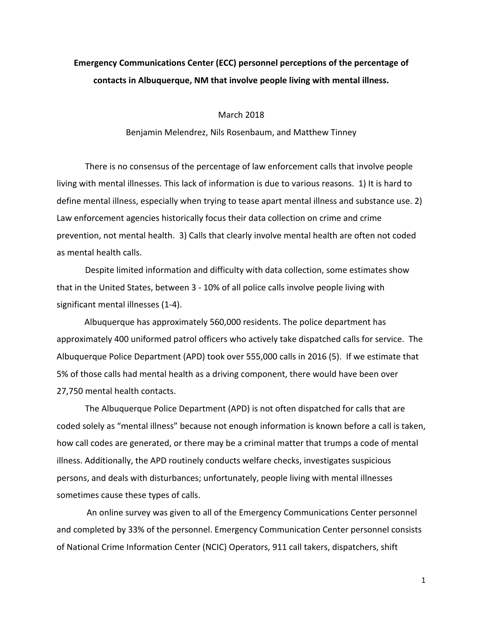## **Emergency Communications Center (ECC) personnel perceptions of the percentage of** contacts in Albuquerque, NM that involve people living with mental illness.

March 2018

Benjamin Melendrez, Nils Rosenbaum, and Matthew Tinney

There is no consensus of the percentage of law enforcement calls that involve people living with mental illnesses. This lack of information is due to various reasons. 1) It is hard to define mental illness, especially when trying to tease apart mental illness and substance use. 2) Law enforcement agencies historically focus their data collection on crime and crime prevention, not mental health. 3) Calls that clearly involve mental health are often not coded as mental health calls.

Despite limited information and difficulty with data collection, some estimates show that in the United States, between 3 - 10% of all police calls involve people living with significant mental illnesses (1-4).

Albuquerque has approximately 560,000 residents. The police department has approximately 400 uniformed patrol officers who actively take dispatched calls for service. The Albuquerque Police Department (APD) took over 555,000 calls in 2016 (5). If we estimate that 5% of those calls had mental health as a driving component, there would have been over 27,750 mental health contacts.

The Albuquerque Police Department (APD) is not often dispatched for calls that are coded solely as "mental illness" because not enough information is known before a call is taken, how call codes are generated, or there may be a criminal matter that trumps a code of mental illness. Additionally, the APD routinely conducts welfare checks, investigates suspicious persons, and deals with disturbances; unfortunately, people living with mental illnesses sometimes cause these types of calls.

An online survey was given to all of the Emergency Communications Center personnel and completed by 33% of the personnel. Emergency Communication Center personnel consists of National Crime Information Center (NCIC) Operators, 911 call takers, dispatchers, shift

1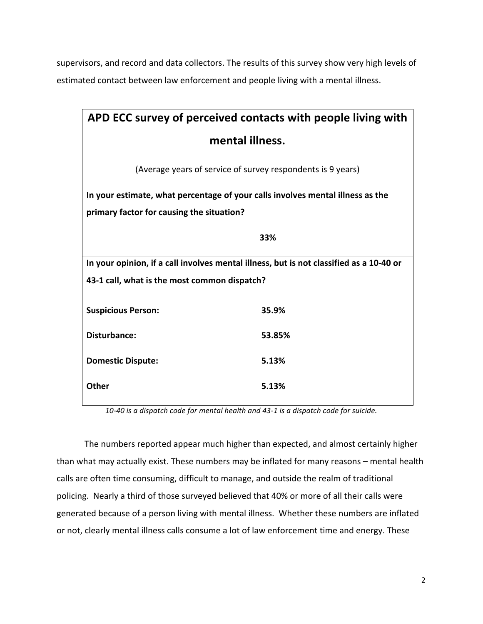supervisors, and record and data collectors. The results of this survey show very high levels of estimated contact between law enforcement and people living with a mental illness.

| APD ECC survey of perceived contacts with people living with                            |        |
|-----------------------------------------------------------------------------------------|--------|
| mental illness.                                                                         |        |
| (Average years of service of survey respondents is 9 years)                             |        |
| In your estimate, what percentage of your calls involves mental illness as the          |        |
| primary factor for causing the situation?                                               |        |
|                                                                                         | 33%    |
| In your opinion, if a call involves mental illness, but is not classified as a 10-40 or |        |
| 43-1 call, what is the most common dispatch?                                            |        |
| <b>Suspicious Person:</b>                                                               | 35.9%  |
| <b>Disturbance:</b>                                                                     | 53.85% |
| <b>Domestic Dispute:</b>                                                                | 5.13%  |
| Other                                                                                   | 5.13%  |

10-40 is a dispatch code for mental health and 43-1 is a dispatch code for suicide.

The numbers reported appear much higher than expected, and almost certainly higher than what may actually exist. These numbers may be inflated for many reasons – mental health calls are often time consuming, difficult to manage, and outside the realm of traditional policing. Nearly a third of those surveyed believed that 40% or more of all their calls were generated because of a person living with mental illness. Whether these numbers are inflated or not, clearly mental illness calls consume a lot of law enforcement time and energy. These